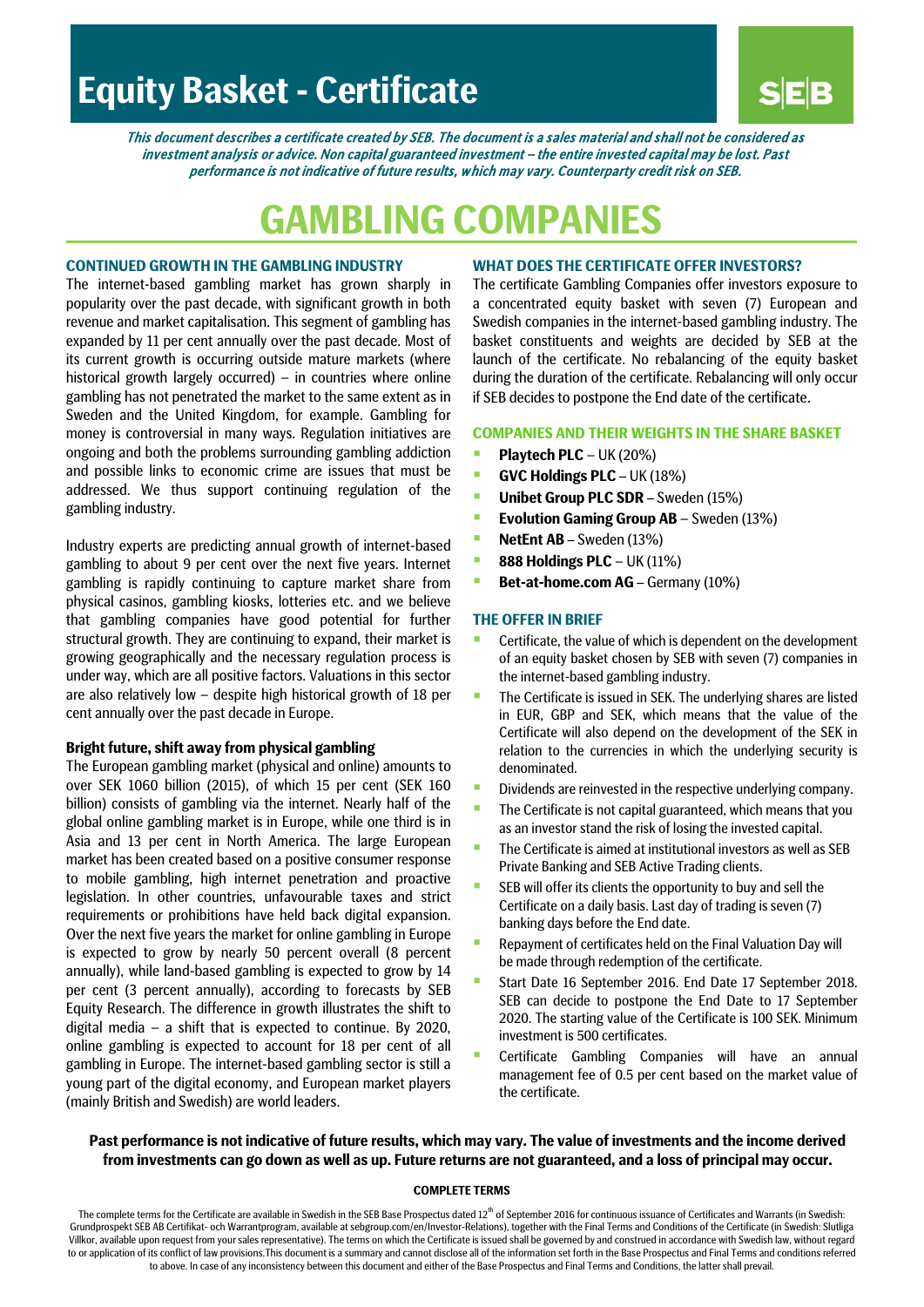# **Equity Basket - Certificate**

This document describes a certificate created by SEB. The document is a sales material and shall not be considered as investment analysis or advice. Non capital guaranteed investment – the entire invested capital may be lost. Past performance is not indicative of future results, w hich may vary. Counterparty credit risk on SEB.

# **GAMBLING COMPANIES**

## **CONTINUED GROWTH IN THE GAMBLING INDUSTRY**

The internet-based gambling market has grown sharply in popularity over the past decade, with significant growth in both revenue and market capitalisation. This segment of gambling has expanded by 11 per cent annually over the past decade. Most of its current growth is occurring outside mature markets (where historical growth largely occurred) – in countries where online gambling has not penetrated the market to the same extent as in Sweden and the United Kingdom, for example. Gambling for money is controversial in many ways. Regulation initiatives are ongoing and both the problems surrounding gambling addiction and possible links to economic crime are issues that must be addressed. We thus support continuing regulation of the gambling industry.

Industry experts are predicting annual growth of internet-based gambling to about 9 per cent over the next five years. Internet gambling is rapidly continuing to capture market share from physical casinos, gambling kiosks, lotteries etc. and we believe that gambling companies have good potential for further structural growth. They are continuing to expand, their market is growing geographically and the necessary regulation process is under way, which are all positive factors. Valuations in this sector are also relatively low – despite high historical growth of 18 per cent annually over the past decade in Europe.

#### **Bright future, shift away from physical gambling**

The European gambling market (physical and online) amounts to over SEK 1060 billion (2015), of which 15 per cent (SEK 160 billion) consists of gambling via the internet. Nearly half of the global online gambling market is in Europe, while one third is in Asia and 13 per cent in North America. The large European market has been created based on a positive consumer response to mobile gambling, high internet penetration and proactive legislation. In other countries, unfavourable taxes and strict requirements or prohibitions have held back digital expansion. Over the next five years the market for online gambling in Europe is expected to grow by nearly 50 percent overall (8 percent annually), while land-based gambling is expected to grow by 14 per cent (3 percent annually), according to forecasts by SEB Equity Research. The difference in growth illustrates the shift to digital media – a shift that is expected to continue. By 2020, online gambling is expected to account for 18 per cent of all gambling in Europe. The internet-based gambling sector is still a young part of the digital economy, and European market players (mainly British and Swedish) are world leaders.

## **WHAT DOES THE CERTIFICATE OFFER INVESTORS?**

The certificate Gambling Companies offer investors exposure to a concentrated equity basket with seven (7) European and Swedish companies in the internet-based gambling industry. The basket constituents and weights are decided by SEB at the launch of the certificate. No rebalancing of the equity basket during the duration of the certificate. Rebalancing will only occur if SEB decides to postpone the End date of the certificate.

# **COMPANIES AND THEIR WEIGHTS IN THE SHARE BASKET**

- **Playtech PLC** UK (20%)
- **GVC Holdings PLC** UK (18%)
- **Unibet Group PLC SDR** Sweden (15%)
- **Evolution Gaming Group AB** Sweden (13%)
- **NetEnt AB** Sweden (13%)
- **888 Holdings PLC** UK (11%)
- **Bet-at-home.com AG** Germany (10%)

## **THE OFFER IN BRIEF**

- **EXEC** Certificate, the value of which is dependent on the development of an equity basket chosen by SEB with seven (7) companies in the internet-based gambling industry.
- The Certificate is issued in SEK. The underlying shares are listed in EUR, GBP and SEK, which means that the value of the Certificate will also depend on the development of the SEK in relation to the currencies in which the underlying security is denominated.
- Dividends are reinvested in the respective underlying company.
- The Certificate is not capital guaranteed, which means that you as an investor stand the risk of losing the invested capital.
- **The Certificate is aimed at institutional investors as well as SEB** Private Banking and SEB Active Trading clients.
- **SEB** will offer its clients the opportunity to buy and sell the Certificate on a daily basis. Last day of trading is seven (7) banking days before the End date.
- **Repayment of certificates held on the Final Valuation Day will** be made through redemption of the certificate.
- Start Date 16 September 2016. End Date 17 September 2018. SEB can decide to postpone the End Date to 17 September 2020. The starting value of the Certificate is 100 SEK. Minimum investment is 500 certificates.
- **E** Certificate Gambling Companies will have an annual management fee of 0.5 per cent based on the market value of the certificate.

# **Past performance is not indicative of future results, which may vary. The value of investments and the income derived from investments can go down as well as up. Future returns are not guaranteed, and a loss of principal may occur.**

#### **COMPLETE TERMS**

The complete terms for the Certificate are available in Swedish in the SEB Base Prospectus dated 12<sup>th</sup> of September 2016 for continuous issuance of Certificates and Warrants (in Swedish: Grundprospekt SEB AB Certifikat- och Warrantprogram, available at sebgroup.com/en/Investor-Relations), together with the Final Terms and Conditions of the Certificate (in Swedish: Slutliga Villkor, available upon request from your sales representative). The terms on which the Certificate is issued shall be governed by and construed in accordance with Swedish law, without regard to or application of its conflict of law provisions.This document is a summary and cannot disclose all of the information set forth in the Base Prospectus and Final Terms and conditions referred to above. In case of any inconsistency between this document and either of the Base Prospectus and Final Terms and Conditions, the latter shall prevail.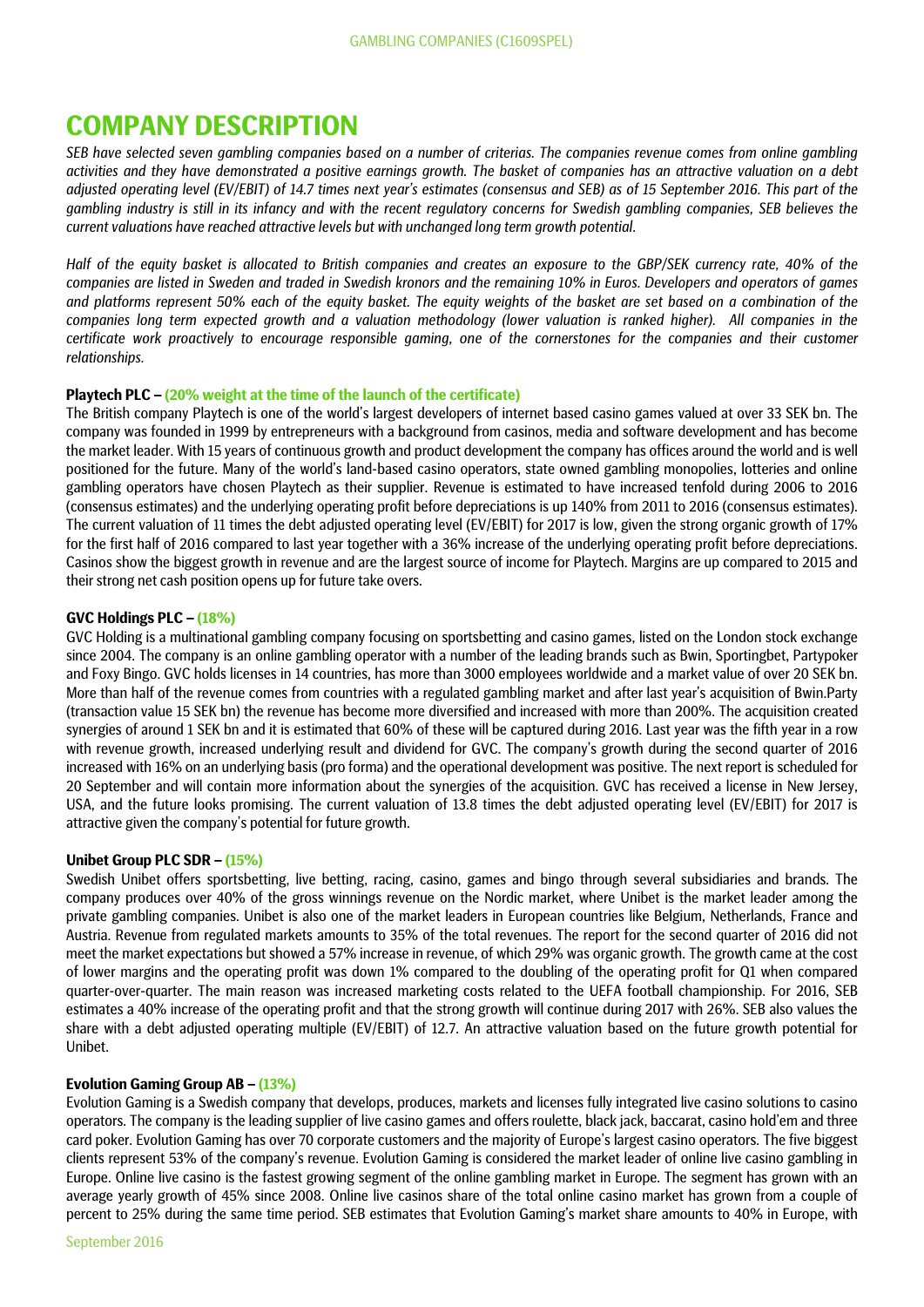# **COMPANY DESCRIPTION**

*SEB have selected seven gambling companies based on a number of criterias. The companies revenue comes from online gambling activities and they have demonstrated a positive earnings growth. The basket of companies has an attractive valuation on a debt adjusted operating level (EV/EBIT) of 14.7 times next year's estimates (consensus and SEB) as of 15 September 2016. This part of the gambling industry is still in its infancy and with the recent regulatory concerns for Swedish gambling companies, SEB believes the current valuations have reached attractive levels but with unchanged long term growth potential.* 

*Half of the equity basket is allocated to British companies and creates an exposure to the GBP/SEK currency rate, 40% of the companies are listed in Sweden and traded in Swedish kronors and the remaining 10% in Euros. Developers and operators of games and platforms represent 50% each of the equity basket. The equity weights of the basket are set based on a combination of the companies long term expected growth and a valuation methodology (lower valuation is ranked higher). All companies in the certificate work proactively to encourage responsible gaming, one of the cornerstones for the companies and their customer relationships.*

## **Playtech PLC – (20% weight at the time of the launch of the certificate)**

The British company Playtech is one of the world's largest developers of internet based casino games valued at over 33 SEK bn. The company was founded in 1999 by entrepreneurs with a background from casinos, media and software development and has become the market leader. With 15 years of continuous growth and product development the company has offices around the world and is well positioned for the future. Many of the world's land-based casino operators, state owned gambling monopolies, lotteries and online gambling operators have chosen Playtech as their supplier. Revenue is estimated to have increased tenfold during 2006 to 2016 (consensus estimates) and the underlying operating profit before depreciations is up 140% from 2011 to 2016 (consensus estimates). The current valuation of 11 times the debt adjusted operating level (EV/EBIT) for 2017 is low, given the strong organic growth of 17% for the first half of 2016 compared to last year together with a 36% increase of the underlying operating profit before depreciations. Casinos show the biggest growth in revenue and are the largest source of income for Playtech. Margins are up compared to 2015 and their strong net cash position opens up for future take overs.

# **GVC Holdings PLC – (18%)**

GVC Holding is a multinational gambling company focusing on sportsbetting and casino games, listed on the London stock exchange since 2004. The company is an online gambling operator with a number of the leading brands such as Bwin, Sportingbet, Partypoker and Foxy Bingo. GVC holds licenses in 14 countries, has more than 3000 employees worldwide and a market value of over 20 SEK bn. More than half of the revenue comes from countries with a regulated gambling market and after last year's acquisition of Bwin.Party (transaction value 15 SEK bn) the revenue has become more diversified and increased with more than 200%. The acquisition created synergies of around 1 SEK bn and it is estimated that 60% of these will be captured during 2016. Last year was the fifth year in a row with revenue growth, increased underlying result and dividend for GVC. The company's growth during the second quarter of 2016 increased with 16% on an underlying basis (pro forma) and the operational development was positive. The next report is scheduled for 20 September and will contain more information about the synergies of the acquisition. GVC has received a license in New Jersey, USA, and the future looks promising. The current valuation of 13.8 times the debt adjusted operating level (EV/EBIT) for 2017 is attractive given the company's potential for future growth.

# **Unibet Group PLC SDR – (15%)**

Swedish Unibet offers sportsbetting, live betting, racing, casino, games and bingo through several subsidiaries and brands. The company produces over 40% of the gross winnings revenue on the Nordic market, where Unibet is the market leader among the private gambling companies. Unibet is also one of the market leaders in European countries like Belgium, Netherlands, France and Austria. Revenue from regulated markets amounts to 35% of the total revenues. The report for the second quarter of 2016 did not meet the market expectations but showed a 57% increase in revenue, of which 29% was organic growth. The growth came at the cost of lower margins and the operating profit was down 1% compared to the doubling of the operating profit for Q1 when compared quarter-over-quarter. The main reason was increased marketing costs related to the UEFA football championship. For 2016, SEB estimates a 40% increase of the operating profit and that the strong growth will continue during 2017 with 26%. SEB also values the share with a debt adjusted operating multiple (EV/EBIT) of 12.7. An attractive valuation based on the future growth potential for Unibet.

# **Evolution Gaming Group AB – (13%)**

Evolution Gaming is a Swedish company that develops, produces, markets and licenses fully integrated live casino solutions to casino operators. The company is the leading supplier of live casino games and offers roulette, black jack, baccarat, casino hold'em and three card poker. Evolution Gaming has over 70 corporate customers and the majority of Europe's largest casino operators. The five biggest clients represent 53% of the company's revenue. Evolution Gaming is considered the market leader of online live casino gambling in Europe. Online live casino is the fastest growing segment of the online gambling market in Europe. The segment has grown with an average yearly growth of 45% since 2008. Online live casinos share of the total online casino market has grown from a couple of percent to 25% during the same time period. SEB estimates that Evolution Gaming's market share amounts to 40% in Europe, with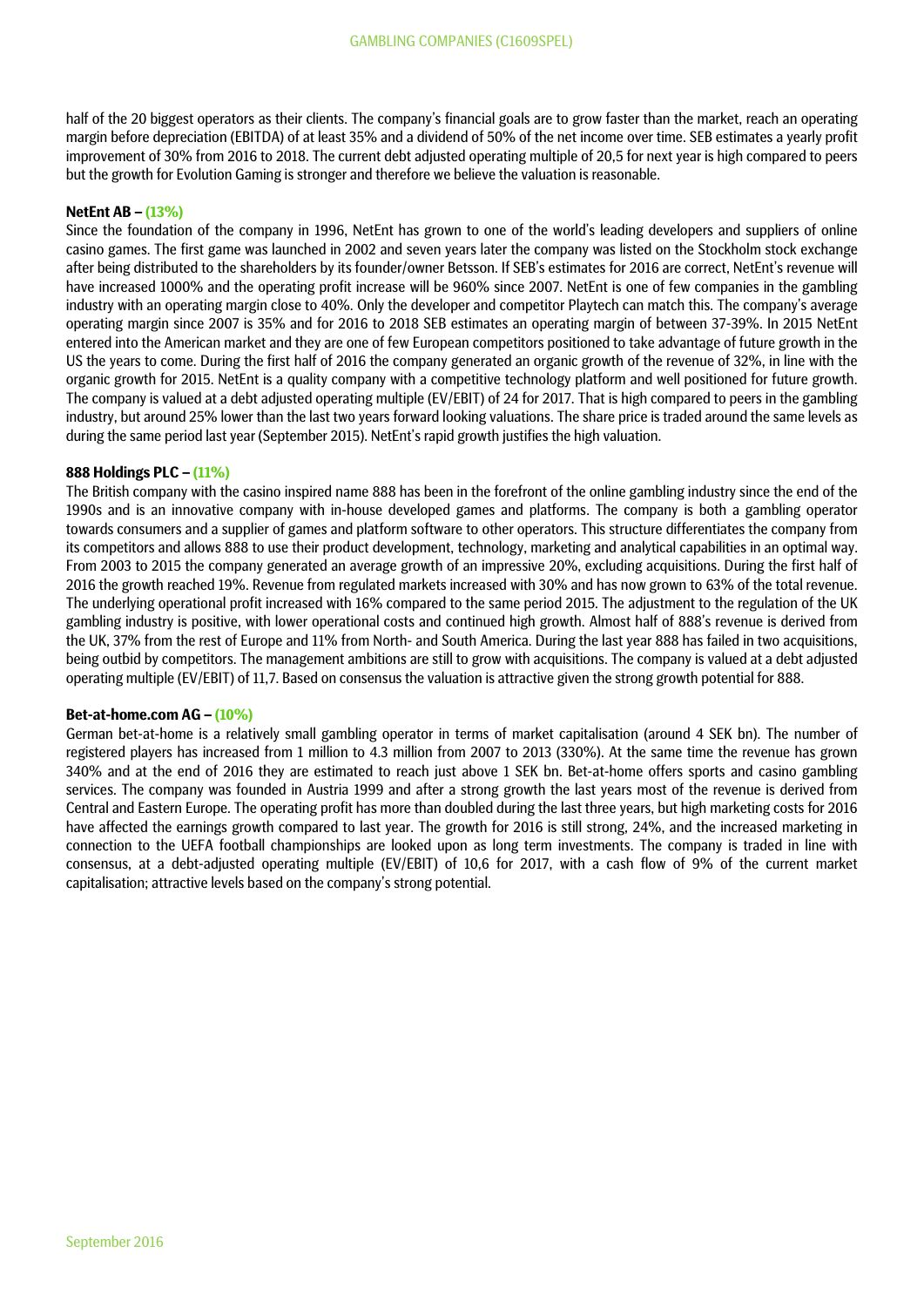half of the 20 biggest operators as their clients. The company's financial goals are to grow faster than the market, reach an operating margin before depreciation (EBITDA) of at least 35% and a dividend of 50% of the net income over time. SEB estimates a yearly profit improvement of 30% from 2016 to 2018. The current debt adjusted operating multiple of 20,5 for next year is high compared to peers but the growth for Evolution Gaming is stronger and therefore we believe the valuation is reasonable.

# **NetEnt AB – (13%)**

Since the foundation of the company in 1996, NetEnt has grown to one of the world's leading developers and suppliers of online casino games. The first game was launched in 2002 and seven years later the company was listed on the Stockholm stock exchange after being distributed to the shareholders by its founder/owner Betsson. If SEB's estimates for 2016 are correct, NetEnt's revenue will have increased 1000% and the operating profit increase will be 960% since 2007. NetEnt is one of few companies in the gambling industry with an operating margin close to 40%. Only the developer and competitor Playtech can match this. The company's average operating margin since 2007 is 35% and for 2016 to 2018 SEB estimates an operating margin of between 37-39%. In 2015 NetEnt entered into the American market and they are one of few European competitors positioned to take advantage of future growth in the US the years to come. During the first half of 2016 the company generated an organic growth of the revenue of 32%, in line with the organic growth for 2015. NetEnt is a quality company with a competitive technology platform and well positioned for future growth. The company is valued at a debt adjusted operating multiple (EV/EBIT) of 24 for 2017. That is high compared to peers in the gambling industry, but around 25% lower than the last two years forward looking valuations. The share price is traded around the same levels as during the same period last year (September 2015). NetEnt's rapid growth justifies the high valuation.

# **888 Holdings PLC – (11%)**

The British company with the casino inspired name 888 has been in the forefront of the online gambling industry since the end of the 1990s and is an innovative company with in-house developed games and platforms. The company is both a gambling operator towards consumers and a supplier of games and platform software to other operators. This structure differentiates the company from its competitors and allows 888 to use their product development, technology, marketing and analytical capabilities in an optimal way. From 2003 to 2015 the company generated an average growth of an impressive 20%, excluding acquisitions. During the first half of 2016 the growth reached 19%. Revenue from regulated markets increased with 30% and has now grown to 63% of the total revenue. The underlying operational profit increased with 16% compared to the same period 2015. The adjustment to the regulation of the UK gambling industry is positive, with lower operational costs and continued high growth. Almost half of 888's revenue is derived from the UK, 37% from the rest of Europe and 11% from North- and South America. During the last year 888 has failed in two acquisitions, being outbid by competitors. The management ambitions are still to grow with acquisitions. The company is valued at a debt adjusted operating multiple (EV/EBIT) of 11,7. Based on consensus the valuation is attractive given the strong growth potential for 888.

### **Bet-at-home.com AG – (10%)**

German bet-at-home is a relatively small gambling operator in terms of market capitalisation (around 4 SEK bn). The number of registered players has increased from 1 million to 4.3 million from 2007 to 2013 (330%). At the same time the revenue has grown 340% and at the end of 2016 they are estimated to reach just above 1 SEK bn. Bet-at-home offers sports and casino gambling services. The company was founded in Austria 1999 and after a strong growth the last years most of the revenue is derived from Central and Eastern Europe. The operating profit has more than doubled during the last three years, but high marketing costs for 2016 have affected the earnings growth compared to last year. The growth for 2016 is still strong, 24%, and the increased marketing in connection to the UEFA football championships are looked upon as long term investments. The company is traded in line with consensus, at a debt-adjusted operating multiple (EV/EBIT) of 10,6 for 2017, with a cash flow of 9% of the current market capitalisation; attractive levels based on the company's strong potential.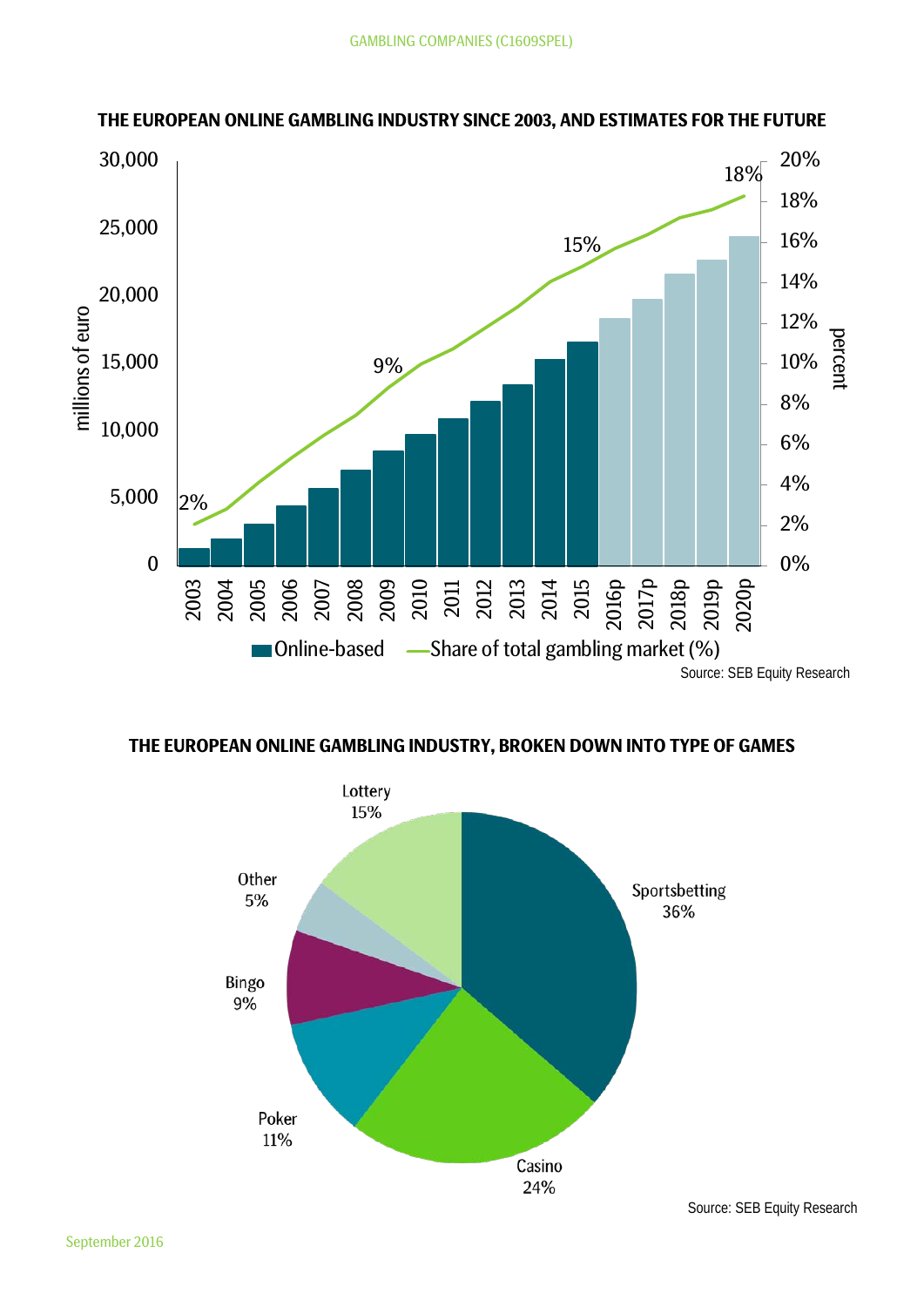

# **THE EUROPEAN ONLINE GAMBLING INDUSTRY SINCE 2003, AND ESTIMATES FOR THE FUTURE**



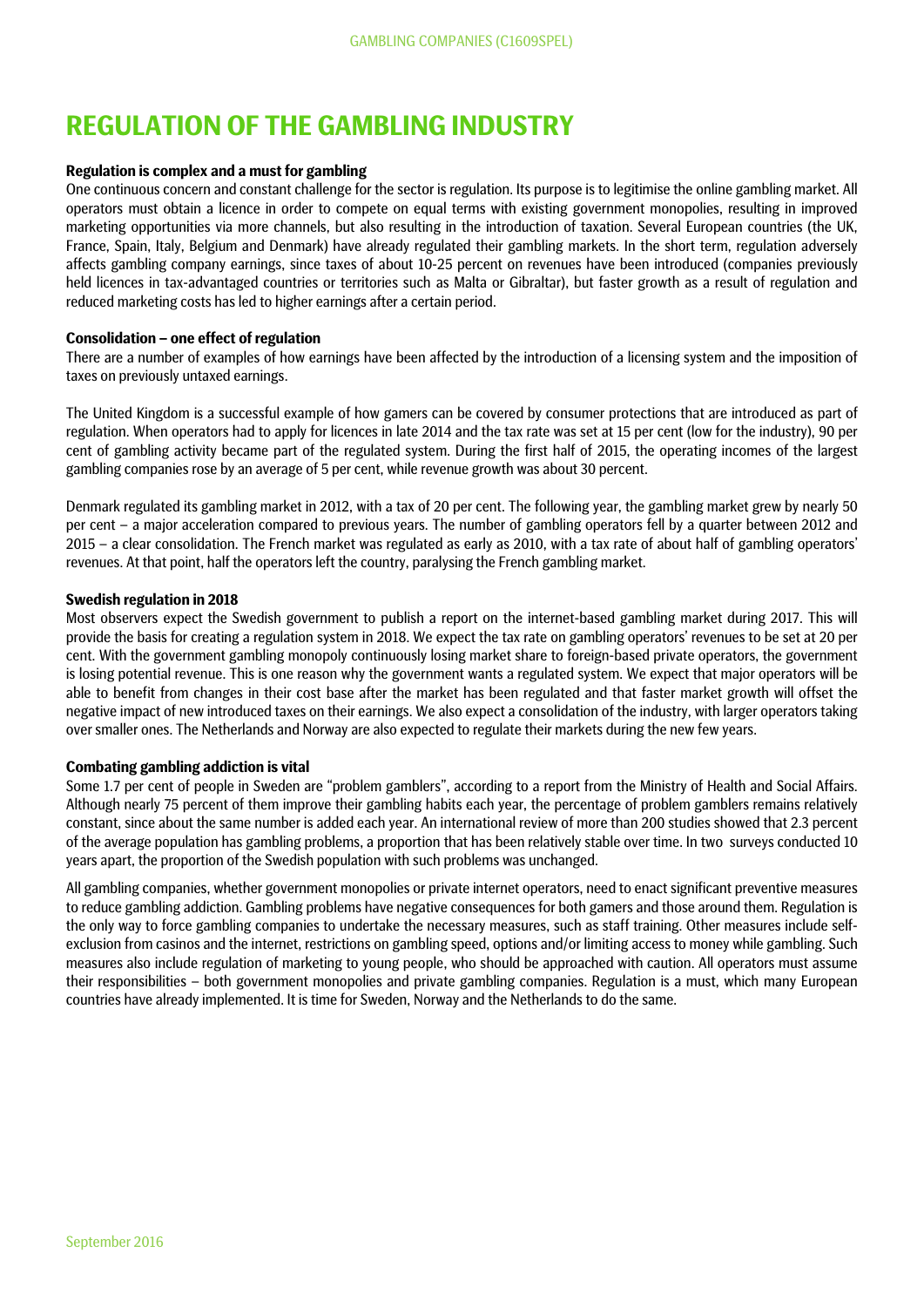# **REGULATION OF THE GAMBLING INDUSTRY**

# **Regulation is complex and a must for gambling**

One continuous concern and constant challenge for the sector is regulation. Its purpose is to legitimise the online gambling market. All operators must obtain a licence in order to compete on equal terms with existing government monopolies, resulting in improved marketing opportunities via more channels, but also resulting in the introduction of taxation. Several European countries (the UK, France, Spain, Italy, Belgium and Denmark) have already regulated their gambling markets. In the short term, regulation adversely affects gambling company earnings, since taxes of about 10-25 percent on revenues have been introduced (companies previously held licences in tax-advantaged countries or territories such as Malta or Gibraltar), but faster growth as a result of regulation and reduced marketing costs has led to higher earnings after a certain period.

## **Consolidation – one effect of regulation**

There are a number of examples of how earnings have been affected by the introduction of a licensing system and the imposition of taxes on previously untaxed earnings.

The United Kingdom is a successful example of how gamers can be covered by consumer protections that are introduced as part of regulation. When operators had to apply for licences in late 2014 and the tax rate was set at 15 per cent (low for the industry), 90 per cent of gambling activity became part of the regulated system. During the first half of 2015, the operating incomes of the largest gambling companies rose by an average of 5 per cent, while revenue growth was about 30 percent.

Denmark regulated its gambling market in 2012, with a tax of 20 per cent. The following year, the gambling market grew by nearly 50 per cent – a major acceleration compared to previous years. The number of gambling operators fell by a quarter between 2012 and 2015 – a clear consolidation. The French market was regulated as early as 2010, with a tax rate of about half of gambling operators' revenues. At that point, half the operators left the country, paralysing the French gambling market.

## **Swedish regulation in 2018**

Most observers expect the Swedish government to publish a report on the internet-based gambling market during 2017. This will provide the basis for creating a regulation system in 2018. We expect the tax rate on gambling operators' revenues to be set at 20 per cent. With the government gambling monopoly continuously losing market share to foreign-based private operators, the government is losing potential revenue. This is one reason why the government wants a regulated system. We expect that major operators will be able to benefit from changes in their cost base after the market has been regulated and that faster market growth will offset the negative impact of new introduced taxes on their earnings. We also expect a consolidation of the industry, with larger operators taking over smaller ones. The Netherlands and Norway are also expected to regulate their markets during the new few years.

### **Combating gambling addiction is vital**

Some 1.7 per cent of people in Sweden are "problem gamblers", according to a report from the Ministry of Health and Social Affairs. Although nearly 75 percent of them improve their gambling habits each year, the percentage of problem gamblers remains relatively constant, since about the same number is added each year. An international review of more than 200 studies showed that 2.3 percent of the average population has gambling problems, a proportion that has been relatively stable over time. In two surveys conducted 10 years apart, the proportion of the Swedish population with such problems was unchanged.

All gambling companies, whether government monopolies or private internet operators, need to enact significant preventive measures to reduce gambling addiction. Gambling problems have negative consequences for both gamers and those around them. Regulation is the only way to force gambling companies to undertake the necessary measures, such as staff training. Other measures include selfexclusion from casinos and the internet, restrictions on gambling speed, options and/or limiting access to money while gambling. Such measures also include regulation of marketing to young people, who should be approached with caution. All operators must assume their responsibilities – both government monopolies and private gambling companies. Regulation is a must, which many European countries have already implemented. It is time for Sweden, Norway and the Netherlands to do the same.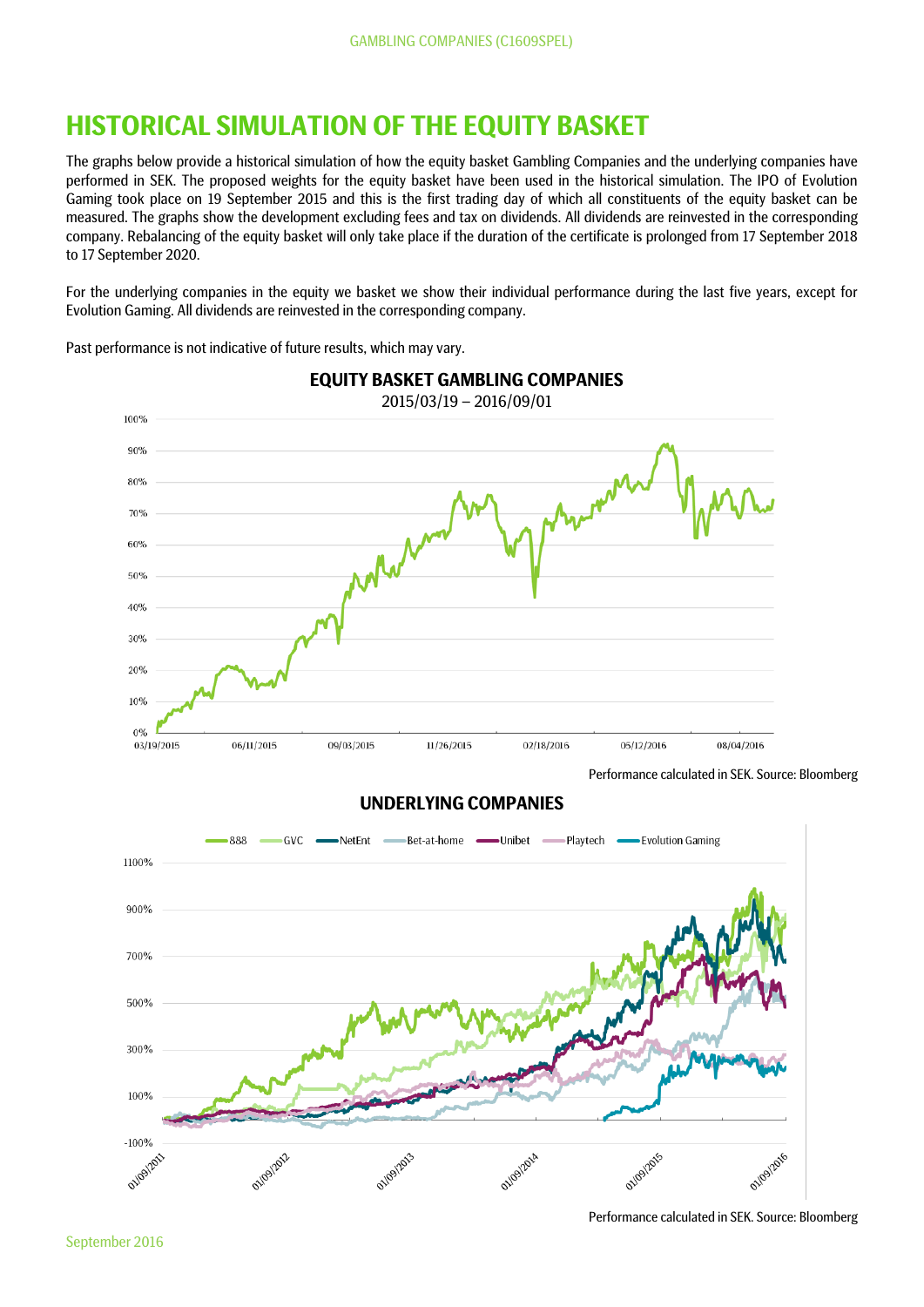# **HISTORICAL SIMULATION OF THE EQUITY BASKET**

The graphs below provide a historical simulation of how the equity basket Gambling Companies and the underlying companies have performed in SEK. The proposed weights for the equity basket have been used in the historical simulation. The IPO of Evolution Gaming took place on 19 September 2015 and this is the first trading day of which all constituents of the equity basket can be measured. The graphs show the development excluding fees and tax on dividends. All dividends are reinvested in the corresponding company. Rebalancing of the equity basket will only take place if the duration of the certificate is prolonged from 17 September 2018 to 17 September 2020.

For the underlying companies in the equity we basket we show their individual performance during the last five years, except for Evolution Gaming. All dividends are reinvested in the corresponding company.

Past performance is not indicative of future results, which may vary.



Performance calculated in SEK. Source: Bloomberg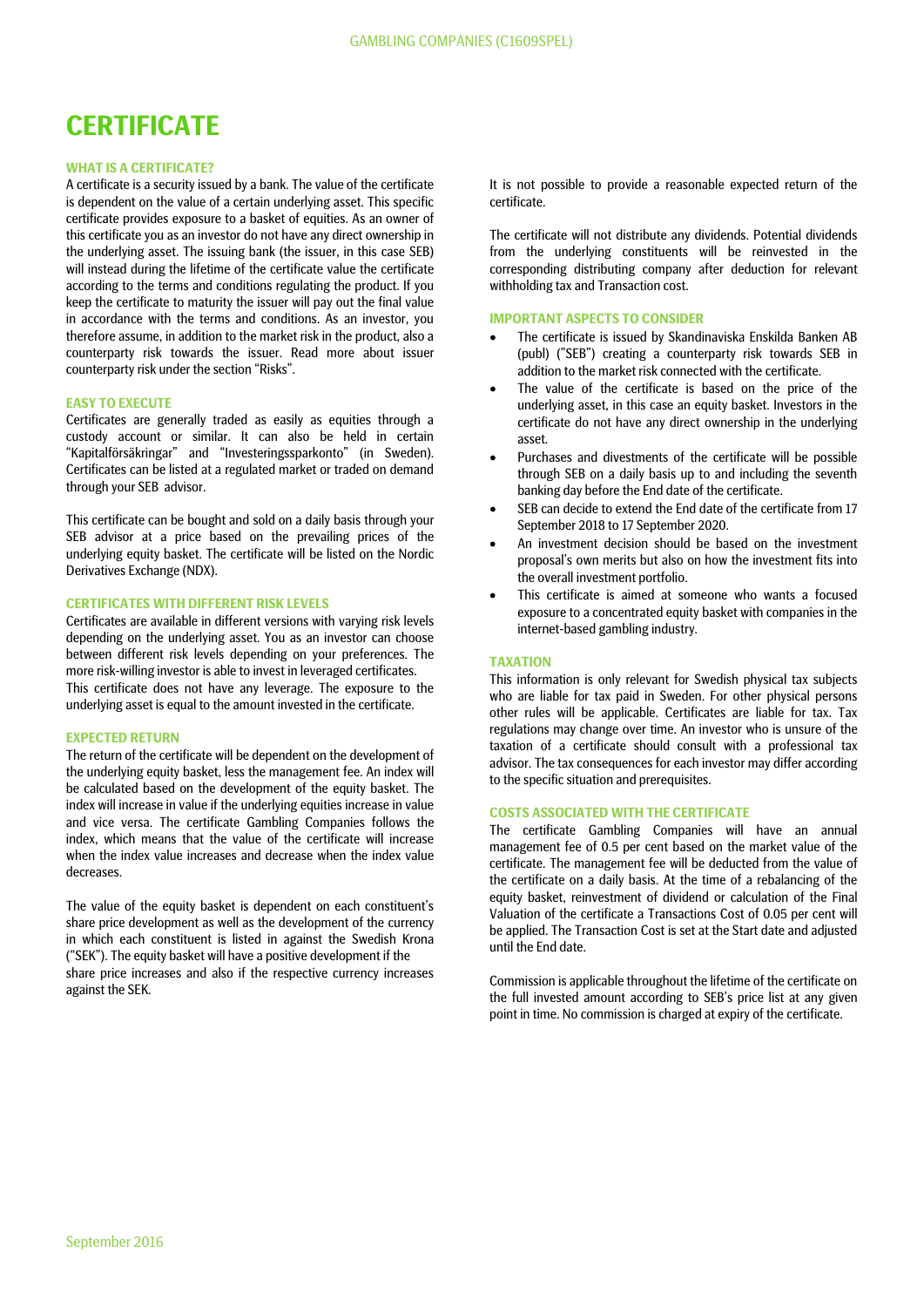# **CERTIFICATE**

#### **WHAT IS A CERTIFICATE?**

A certificate is a security issued by a bank. The value of the certificate is dependent on the value of a certain underlying asset. This specific certificate provides exposure to a basket of equities. As an owner of this certificate you as an investor do not have any direct ownership in the underlying asset. The issuing bank (the issuer, in this case SEB) will instead during the lifetime of the certificate value the certificate according to the terms and conditions regulating the product. If you keep the certificate to maturity the issuer will pay out the final value in accordance with the terms and conditions. As an investor, you therefore assume, in addition to the market risk in the product, also a counterparty risk towards the issuer. Read more about issuer counterparty risk under the section "Risks".

#### **EASY TO EXECUTE**

Certificates are generally traded as easily as equities through a custody account or similar. It can also be held in certain "Kapitalförsäkringar" and "Investeringssparkonto" (in Sweden). Certificates can be listed at a regulated market or traded on demand through your SEB advisor.

This certificate can be bought and sold on a daily basis through your SEB advisor at a price based on the prevailing prices of the underlying equity basket. The certificate will be listed on the Nordic Derivatives Exchange (NDX).

### **CERTIFICATES WITH DIFFERENT RISK LEVELS**

Certificates are available in different versions with varying risk levels depending on the underlying asset. You as an investor can choose between different risk levels depending on your preferences. The more risk-willing investor is able to invest in leveraged certificates. This certificate does not have any leverage. The exposure to the underlying asset is equal to the amount invested in the certificate.

# **EXPECTED RETURN**

The return of the certificate will be dependent on the development of the underlying equity basket, less the management fee. An index will be calculated based on the development of the equity basket. The index will increase in value if the underlying equities increase in value and vice versa. The certificate Gambling Companies follows the index, which means that the value of the certificate will increase when the index value increases and decrease when the index value decreases.

The value of the equity basket is dependent on each constituent's share price development as well as the development of the currency in which each constituent is listed in against the Swedish Krona ("SEK"). The equity basket will have a positive development if the share price increases and also if the respective currency increases against the SEK.

It is not possible to provide a reasonable expected return of the certificate.

The certificate will not distribute any dividends. Potential dividends from the underlying constituents will be reinvested in the corresponding distributing company after deduction for relevant withholding tax and Transaction cost.

#### **IMPORTANT ASPECTS TO CONSIDER**

- The certificate is issued by Skandinaviska Enskilda Banken AB (publ) ("SEB") creating a counterparty risk towards SEB in addition to the market risk connected with the certificate.
- The value of the certificate is based on the price of the underlying asset, in this case an equity basket. Investors in the certificate do not have any direct ownership in the underlying asset.
- Purchases and divestments of the certificate will be possible through SEB on a daily basis up to and including the seventh banking day before the End date of the certificate.
- SEB can decide to extend the End date of the certificate from 17 September 2018 to 17 September 2020.
- An investment decision should be based on the investment proposal's own merits but also on how the investment fits into the overall investment portfolio.
- This certificate is aimed at someone who wants a focused exposure to a concentrated equity basket with companies in the internet-based gambling industry.

#### **TAXATION**

This information is only relevant for Swedish physical tax subjects who are liable for tax paid in Sweden. For other physical persons other rules will be applicable. Certificates are liable for tax. Tax regulations may change over time. An investor who is unsure of the taxation of a certificate should consult with a professional tax advisor. The tax consequences for each investor may differ according to the specific situation and prerequisites.

#### **COSTS ASSOCIATED WITH THE CERTIFICATE**

The certificate Gambling Companies will have an annual management fee of 0.5 per cent based on the market value of the certificate. The management fee will be deducted from the value of the certificate on a daily basis. At the time of a rebalancing of the equity basket, reinvestment of dividend or calculation of the Final Valuation of the certificate a Transactions Cost of 0.05 per cent will be applied. The Transaction Cost is set at the Start date and adjusted until the End date.

Commission is applicable throughout the lifetime of the certificate on the full invested amount according to SEB's price list at any given point in time. No commission is charged at expiry of the certificate.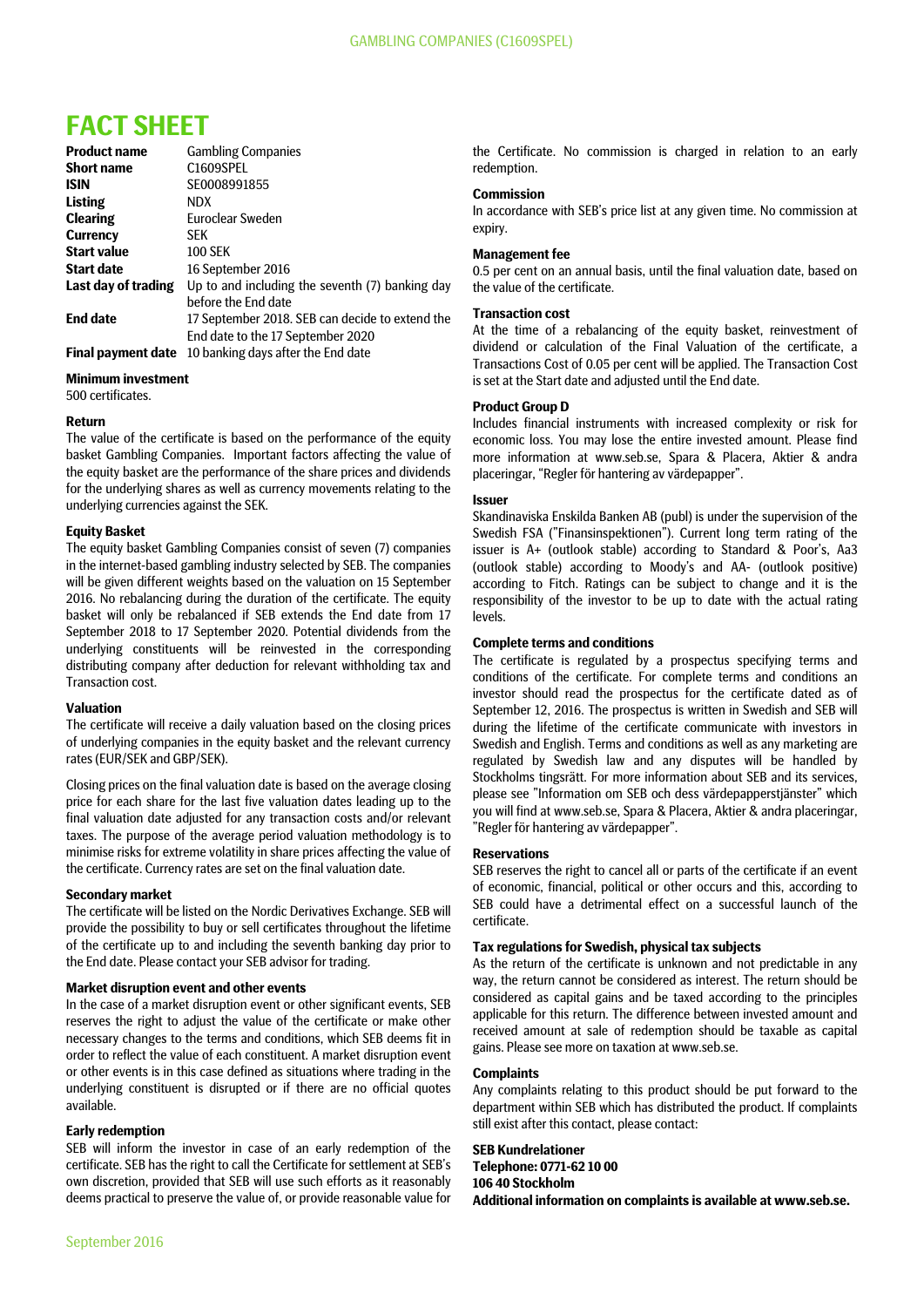# **FACT SHEET**

| <b>Product name</b>       | <b>Gambling Companies</b>                       |
|---------------------------|-------------------------------------------------|
| <b>Short name</b>         | C1609SPEL                                       |
| <b>ISIN</b>               | SE0008991855                                    |
| <b>Listing</b>            | NDX.                                            |
| <b>Clearing</b>           | <b>Euroclear Sweden</b>                         |
| <b>Currency</b>           | <b>SEK</b>                                      |
| <b>Start value</b>        | <b>100 SEK</b>                                  |
| <b>Start date</b>         | 16 September 2016                               |
| Last day of trading       | Up to and including the seventh (7) banking day |
|                           | before the End date                             |
| <b>End date</b>           | 17 September 2018. SEB can decide to extend the |
|                           | End date to the 17 September 2020               |
| <b>Final payment date</b> | 10 banking days after the End date              |

#### **Minimum investment**

500 certificates.

#### **Return**

The value of the certificate is based on the performance of the equity basket Gambling Companies. Important factors affecting the value of the equity basket are the performance of the share prices and dividends for the underlying shares as well as currency movements relating to the underlying currencies against the SEK.

#### **Equity Basket**

The equity basket Gambling Companies consist of seven (7) companies in the internet-based gambling industry selected by SEB. The companies will be given different weights based on the valuation on 15 September 2016. No rebalancing during the duration of the certificate. The equity basket will only be rebalanced if SEB extends the End date from 17 September 2018 to 17 September 2020. Potential dividends from the underlying constituents will be reinvested in the corresponding distributing company after deduction for relevant withholding tax and Transaction cost.

#### **Valuation**

The certificate will receive a daily valuation based on the closing prices of underlying companies in the equity basket and the relevant currency rates (EUR/SEK and GBP/SEK).

Closing prices on the final valuation date is based on the average closing price for each share for the last five valuation dates leading up to the final valuation date adjusted for any transaction costs and/or relevant taxes. The purpose of the average period valuation methodology is to minimise risks for extreme volatility in share prices affecting the value of the certificate. Currency rates are set on the final valuation date.

### **Secondary market**

The certificate will be listed on the Nordic Derivatives Exchange. SEB will provide the possibility to buy or sell certificates throughout the lifetime of the certificate up to and including the seventh banking day prior to the End date. Please contact your SEB advisor for trading.

#### **Market disruption event and other events**

In the case of a market disruption event or other significant events, SEB reserves the right to adjust the value of the certificate or make other necessary changes to the terms and conditions, which SEB deems fit in order to reflect the value of each constituent. A market disruption event or other events is in this case defined as situations where trading in the underlying constituent is disrupted or if there are no official quotes available.

### **Early redemption**

SEB will inform the investor in case of an early redemption of the certificate. SEB has the right to call the Certificate for settlement at SEB's own discretion, provided that SEB will use such efforts as it reasonably deems practical to preserve the value of, or provide reasonable value for

the Certificate. No commission is charged in relation to an early redemption.

### **Commission**

In accordance with SEB's price list at any given time. No commission at expiry.

#### **Management fee**

0.5 per cent on an annual basis, until the final valuation date, based on the value of the certificate.

#### **Transaction cost**

At the time of a rebalancing of the equity basket, reinvestment of dividend or calculation of the Final Valuation of the certificate, a Transactions Cost of 0.05 per cent will be applied. The Transaction Cost is set at the Start date and adjusted until the End date.

#### **Product Group D**

Includes financial instruments with increased complexity or risk for economic loss. You may lose the entire invested amount. Please find more information at www.seb.se, Spara & Placera, Aktier & andra placeringar, "Regler för hantering av värdepapper".

#### **Issuer**

Skandinaviska Enskilda Banken AB (publ) is under the supervision of the Swedish FSA ("Finansinspektionen"). Current long term rating of the issuer is A+ (outlook stable) according to Standard & Poor's, Aa3 (outlook stable) according to Moody's and AA- (outlook positive) according to Fitch. Ratings can be subject to change and it is the responsibility of the investor to be up to date with the actual rating levels.

#### **Complete terms and conditions**

The certificate is regulated by a prospectus specifying terms and conditions of the certificate. For complete terms and conditions an investor should read the prospectus for the certificate dated as of September 12, 2016. The prospectus is written in Swedish and SEB will during the lifetime of the certificate communicate with investors in Swedish and English. Terms and conditions as well as any marketing are regulated by Swedish law and any disputes will be handled by Stockholms tingsrätt. For more information about SEB and its services, please see "Information om SEB och dess värdepapperstjänster" which you will find at www.seb.se, Spara & Placera, Aktier & andra placeringar, "Regler för hantering av värdepapper".

#### **Reservations**

SEB reserves the right to cancel all or parts of the certificate if an event of economic, financial, political or other occurs and this, according to SEB could have a detrimental effect on a successful launch of the certificate.

#### **Tax regulations for Swedish, physical tax subjects**

As the return of the certificate is unknown and not predictable in any way, the return cannot be considered as interest. The return should be considered as capital gains and be taxed according to the principles applicable for this return. The difference between invested amount and received amount at sale of redemption should be taxable as capital gains. Please see more on taxation at www.seb.se.

#### **Complaints**

Any complaints relating to this product should be put forward to the department within SEB which has distributed the product. If complaints still exist after this contact, please contact:

**SEB Kundrelationer Telephone: 0771-62 10 00 106 40 Stockholm Additional information on complaints is available at www.seb.se.**